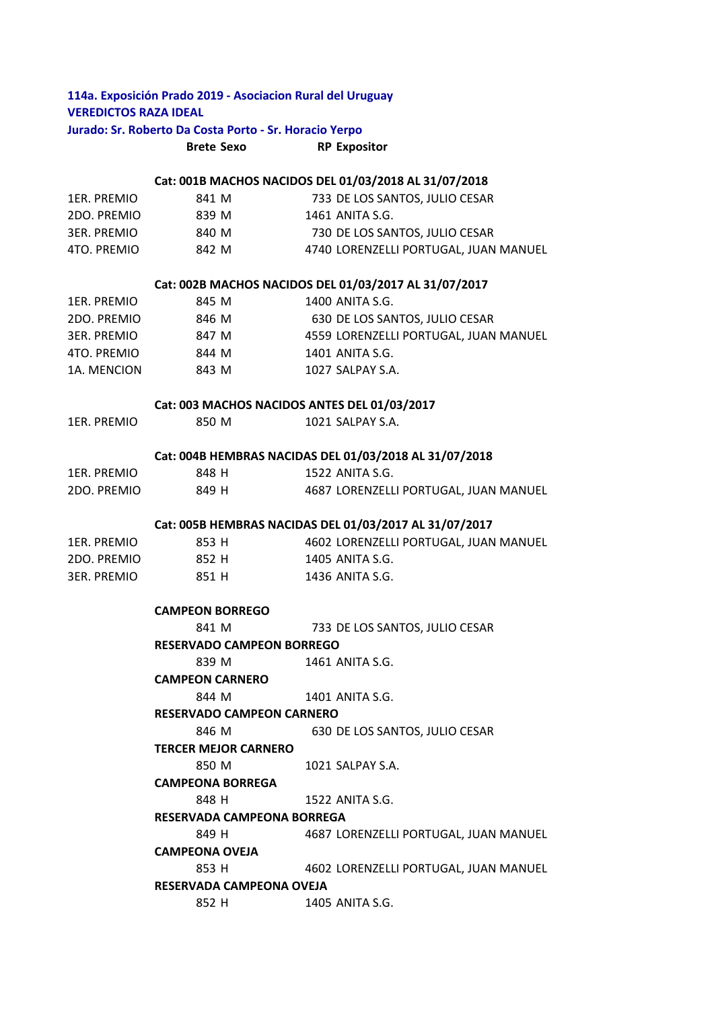## **114a. Exposición Prado 2019 ‐ Asociacion Rural del Uruguay VEREDICTOS RAZA IDEAL**

# **Jurado: Sr. Roberto Da Costa Porto ‐ Sr. Horacio Yerpo**

**Brete Sexo RP Expositor**

#### **Cat: 001B MACHOS NACIDOS DEL 01/03/2018 AL 31/07/2018**

| 1ER. PREMIO | 841 M | 733 DE LOS SANTOS, JULIO CESAR        |
|-------------|-------|---------------------------------------|
| 2DO. PREMIO | 839 M | 1461 ANITA S.G.                       |
| 3ER. PREMIO | 840 M | 730 DE LOS SANTOS, JULIO CESAR        |
| 4TO. PREMIO | 842 M | 4740 LORENZELLI PORTUGAL. JUAN MANUEL |

### **Cat: 002B MACHOS NACIDOS DEL 01/03/2017 AL 31/07/2017**

| 1ER. PREMIO | 845 M | 1400 ANITA S.G.                       |
|-------------|-------|---------------------------------------|
| 2DO. PREMIO | 846 M | 630 DE LOS SANTOS, JULIO CESAR        |
| 3ER. PREMIO | 847 M | 4559 LORENZELLI PORTUGAL. JUAN MANUEL |
| 4TO. PREMIO | 844 M | 1401 ANITA S.G.                       |
| 1A. MENCION | 843 M | 1027 SALPAY S.A.                      |
|             |       |                                       |

### **Cat: 003 MACHOS NACIDOS ANTES DEL 01/03/2017**

| 1ER. PREMIO        | 850 M | 1021 SALPAY S.A.                                       |
|--------------------|-------|--------------------------------------------------------|
|                    |       | Cat: 004B HEMBRAS NACIDAS DEL 01/03/2018 AL 31/07/2018 |
| 1ER. PREMIO        | 848 H | 1522 ANITA S.G.                                        |
| 2DO. PREMIO        | 849 H | 4687 LORENZELLI PORTUGAL, JUAN MANUEL                  |
|                    |       | Cat: 005B HEMBRAS NACIDAS DEL 01/03/2017 AL 31/07/2017 |
| 1ER. PREMIO        | 853 H | 4602 LORENZELLI PORTUGAL, JUAN MANUEL                  |
| 2DO. PREMIO        | 852 H | 1405 ANITA S.G.                                        |
| <b>3ER. PREMIO</b> | 851 H | 1436 ANITA S.G.                                        |

#### **CAMPEON BORREGO**

| 841 M                     | 733 DE LOS SANTOS, JULIO CESAR |  |  |  |
|---------------------------|--------------------------------|--|--|--|
| RESERVADO CAMPEON BORREGO |                                |  |  |  |

839 M 1461 ANITA S.G.

**CAMPEON CARNERO** 

844 M 1401 ANITA S.G.

# **RESERVADO CAMPEON CARNERO**

846 M 630 DE LOS SANTOS, JULIO CESAR

**TERCER MEJOR CARNERO** 

850 M 1021 SALPAY S.A.

**CAMPEONA BORREGA** 

848 H 1522 ANITA S.G.

#### **RESERVADA CAMPEONA BORREGA**

849 H 4687 LORENZELLI PORTUGAL, JUAN MANUEL

## **CAMPEONA OVEJA**

853 H 4602 LORENZELLI PORTUGAL, JUAN MANUEL **RESERVADA CAMPEONA OVEJA** 

852 H 1405 ANITA S.G.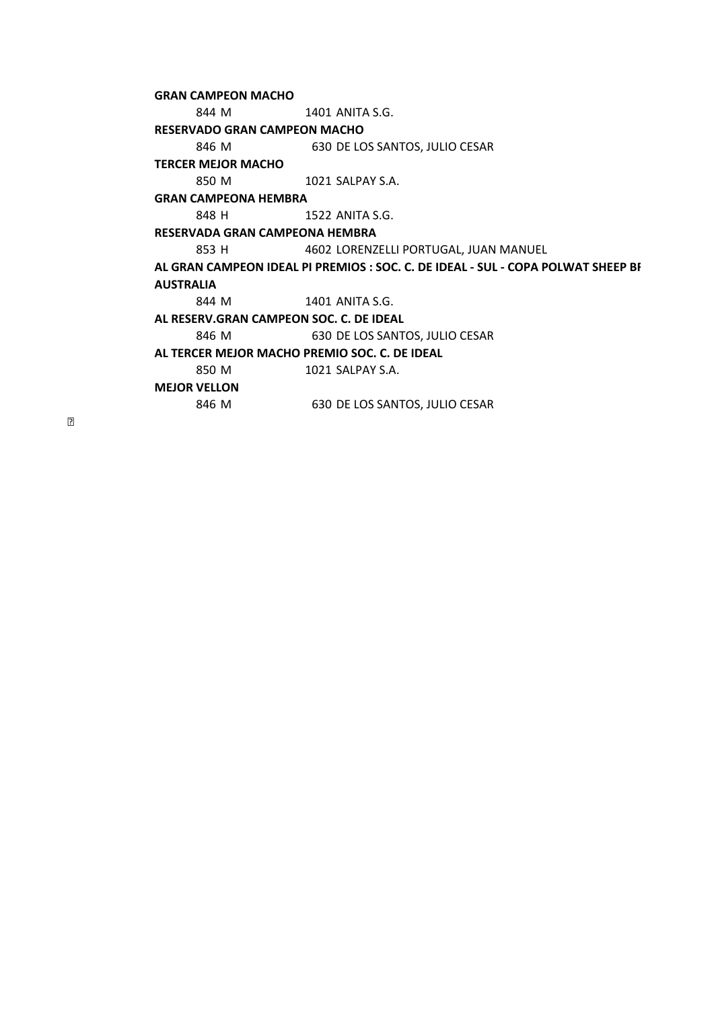844 M 1401 ANITA S.G. 846 M 630 DE LOS SANTOS, JULIO CESAR 850 M 1021 SALPAY S.A. 848 H 1522 ANITA S.G. 853 H 4602 LORENZELLI PORTUGAL, JUAN MANUEL 844 M 1401 ANITA S.G. 846 M 630 DE LOS SANTOS, JULIO CESAR 850 M 1021 SALPAY S.A. 846 M 630 DE LOS SANTOS, JULIO CESAR **AL TERCER MEJOR MACHO PREMIO SOC. C. DE IDEAL MEJOR VELLON RESERVADO GRAN CAMPEON MACHO TERCER MEJOR MACHO GRAN CAMPEONA HEMBRA RESERVADA GRAN CAMPEONA HEMBRA AL GRAN CAMPEON IDEAL PI PREMIOS : SOC. C. DE IDEAL ‐ SUL ‐ COPA POLWAT SHEEP BR AUSTRALIA AL RESERV.GRAN CAMPEON SOC. C. DE IDEAL GRAN CAMPEON MACHO**